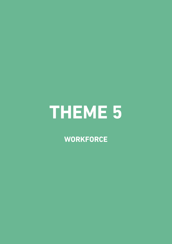# **THEME 5**

**WORKFORCE**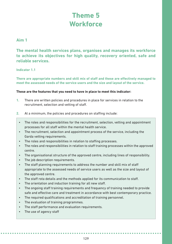# **Theme 5 Workforce**

## **Aim 1**

**The mental health services plans, organises and manages its workforce to achieve its objectives for high quality, recovery oriented, safe and reliable services.**

#### **Indicator 1.1**

**There are appropriate numbers and skill mix of staff and these are effectively managed to meet the assessed needs of the service users and the size and layout of the service.**

- **1.** There are written policies and procedures in place for services in relation to the recruitment, selection and vetting of staff.
- **2.** At a minimum, the policies and procedures on staffing include:
	- The roles and responsibilities for the recruitment, selection, vetting and appointment processes for all staff within the mental health service.
	- The recruitment, selection and appointment process of the service, including the Garda vetting requirements.
	- The roles and responsibilities in relation to staffing processes.
	- The roles and responsibilities in relation to staff training processes within the approved centre.
	- The organisational structure of the approved centre, including lines of responsibility.
	- The job description requirements.
	- The staff planning requirements to address the number and skill mix of staff appropriate to the assessed needs of service users as well as the size and layout of the approved centre.
	- The staff rota details and the methods applied for its communication to staff.
	- The orientation and induction training for all new staff.
	- The ongoing staff training requirements and frequency of training needed to provide safe and effective care and treatment in accordance with best contemporary practice.
	- The required qualifications and accreditation of training personnel.
	- The evaluation of training programmes.
	- The staff performance and evaluation requirements.
	- The use of agency staff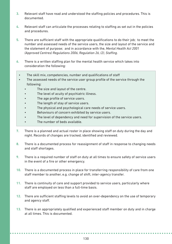- **3.** Relevant staff have read and understood the staffing policies and procedures. This is documented.
- **4.** Relevant staff can articulate the processes relating to staffing as set out in the policies and procedures.
- **5.** There are sufficient staff with the appropriate qualifications to do their job; to meet the number and assessed needs of the service users, the size and layout of the service and the statement of purpose; and in accordance with the, *Mental Health Act 2001 (Approved Centres) Regulations 2006, Regulation 26, (2), Staffing*.
- **6.** There is a written staffing plan for the mental health service which takes into consideration the following:
	- The skill mix, competencies, number and qualifications of staff
	- The assessed needs of the service user group profile of the service through the following:
		- The size and layout of the centre.
		- The level of acuity of psychiatric illness.
		- The age profile of service users.
		- The length of stay of service users.
		- The physical and psychological care needs of service users.
		- Behaviours of concern exhibited by service users.
		- The level of dependency and need for supervision of the service users.
		- The number of beds available.
- **7.** There is a planned and actual roster in place showing staff on duty during the day and night. Records of changes are tracked, identified and reviewed.
- **8.** There is a documented process for reassignment of staff in response to changing needs and staff shortages.
- **9.** There is a required number of staff on duty at all times to ensure safety of service users in the event of a fire or other emergency.
- **10.** There is a documented process in place for transferring responsibility of care from one staff member to another, e.g. change of shift, inter-agency transfer.
- **11.** There is continuity of care and support provided to service users, particularly where staff are employed on less than a full-time basis.
- **12.** There are sufficient staffing levels to avoid an over-dependency on the use of temporary and agency staff.
- **13.** There is an appropriately qualified and experienced staff member on duty and in charge at all times. This is documented.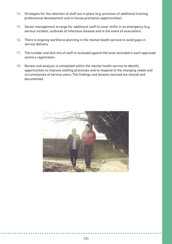- **14.** Strategies for the retention of staff are in place (e.g. provision of additional training, professional development and in-house promotion opportunities).
- **15.** Senior management arrange for additional staff to cover shifts in an emergency (e.g. serious incident, outbreak of infectious disease and in the event of evacuation).
- **16.** There is ongoing workforce planning in the mental health service to avoid gaps in service delivery.
- **17.** The number and skill mix of staff is reviewed against the level recorded in each approved centre's registration.
- **18.** Review and analysis is completed within the mental health service to identify opportunities to improve staffing processes and to respond to the changing needs and circumstances of service users. The findings and lessons learned are shared and documented.

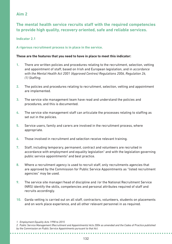# **Aim 2**

# **The mental health service recruits staff with the required competencies to provide high quality, recovery oriented, safe and reliable services.**

#### **Indicator 2.1**

#### **A rigorous recruitment process is in place in the service.**

#### **These are the features that you need to have in place to meet this indicator:**

- **1.** There are written policies and procedures relating to the recruitment, selection, vetting and appointment of staff, based on Irish and European legislation, and in *accordance with the Mental Health Act 2001 (Approved Centres) Regulations 2006, Regulation 26, (1) Staffing*.
- **2.** The policies and procedures relating to recruitment, selection, vetting and appointment are implemented.
- **3.** The service site management team have read and understand the policies and procedures, and this is documented.
- **4.** The service site management staff can articulate the processes relating to staffing as set out in the policies.
- **5.** Service users, family and carers are involved in the recruitment process, where appropriate.
- **6.** Those involved in recruitment and selection receive relevant training.
- **7.** Staff, including temporary, permanent, contract and volunteers are recruited in accordance with employment and equality legislation $<sup>1</sup>$  and with the legislation governing</sup> public service appointments<sup>2</sup> and best practice.
- **8.** Where a recruitment agency is used to recruit staff, only recruitments agencies that are approved by the Commission for Public Service Appointments as "listed recruitment agencies" may be used.
- **9.** The service site manager/head of discipline and /or the National Recruitment Service (NRS) identify the skills, competencies and personal attributes required of staff and recruits accordingly.
- **10.** Garda vetting is carried out on all staff, contractors, volunteers, students on placements and on work place experience, and all other relevant personnel in as required.

....................

*2. Public Service Management (Recruitment and Appointments) Acts 2004 as amended and the Codes of Practice published by the Commission on Public Service Appointments pursuant to that Act.*

*<sup>1.</sup> Employment Equality Acts 1998 to 2015*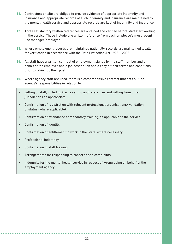- **11.** Contractors on site are obliged to provide evidence of appropriate indemnity and insurance and appropriate records of such indemnity and insurance are maintained by the mental health service and appropriate records are kept of indemnity and insurance.
- **12.** Three satisfactory written references are obtained and verified before staff start working in the service. These include one written reference from each employee's most recent line manager/employer.
- **13.** Where employment records are maintained nationally, records are maintained locally for verification in accordance with the Data Protection Act 1998 – 2003.
- **14.** All staff have a written contract of employment signed by the staff member and on behalf of the employer and a job description and a copy of their terms and conditions prior to taking up their post.
- **15.** Where agency staff are used, there is a comprehensive contract that sets out the agency's responsibilities in relation to:
	- Vetting of staff, including Garda vetting and references and vetting from other jurisdictions as appropriate.
	- Confirmation of registration with relevant professional organisations/ validation of status (where applicable).
	- Confirmation of attendance at mandatory training, as applicable to the service.
	- Confirmation of identity.
	- Confirmation of entitlement to work in the State, where necessary.
	- Professional indemnity.
	- Confirmation of staff training.
	- Arrangements for responding to concerns and complaints.
	- Indemnity for the mental health service in respect of wrong doing on behalf of the employment agency.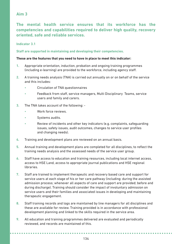# **Aim 3**

**The mental health service ensures that its workforce has the competencies and capabilities required to deliver high quality, recovery oriented, safe and reliable services.**

#### **Indicator 3.1**

**Staff are supported in maintaining and developing their competencies.** 

#### **These are the features that you need to have in place to meet this indicator:**

- **1.** Appropriate orientation, induction, probation and ongoing training programmes (including e-learning) are provided to the workforce, including agency staff.
- **2.** A training needs analysis (TNA) is carried out annually on or on behalf of the service and this includes:
	- Circulation of TNA questionnaires
	- Feedback from staff, service managers, Multi Disciplinary Teams, service users and family and carers.
- **3.** The TNA takes account of the following:
	- Work force reviews.
	- Systems audits.
	- Review of incidents and other key indicators (e.g. complaints, safeguarding issues, safety issues, audit outcomes, changes to service user profiles and changing needs).
- **4.** Training and development plans are reviewed on an annual basis.
- **5.** Annual training and development plans are completed for all disciplines, to reflect the training needs analysis and the assessed needs of the service user group.
- **6.** Staff have access to education and training resources, including local internet access, access to HSE Land, access to appropriate journal publications and HSE regional libraries.
- **7.** Staff are trained to implement therapeutic and recovery based care and support for service users at each stage of his or her care pathway (including: during the assisted admission process; whenever all aspects of care and support are provided; before and during discharge). Training should consider the impact of involuntary admission on service users and their families and associated issues in developing and maintaining therapeutic engagement.
- **8.** Staff training records and logs are maintained by line managers for all disciplines and these are available for review. Training provided is in accordance with professional development planning and linked to the skills required in the service area.
- **9.** All education and training programmes delivered are evaluated and periodically reviewed, and records are maintained of this.

. . . . . . . . . . . . . . . . . . . .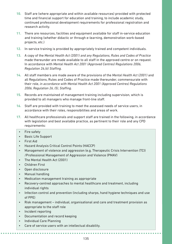- **10.** Staff are (where appropriate and within available resources) provided with protected time and financial support for education and training, to include academic study, continued professional development requirements for professional registration and research activity.
- **11.** There are resources, facilities and equipment available for staff in-service education and training (whether didactic or through e-learning, demonstration work-based projects, etc.)
- **12.** In-service training is provided by appropriately trained and competent individuals.
- **13.** A copy of the *Mental Health Act (2001) and any Regulations, Rules and Codes of Practice*  made thereunder are made available to all staff in the approved centre or on request. In accordance with *Mental Health Act 2001 (Approved Centres) Regulations 2006, Regulation 26,(6) Staffing*.
- **14.** All staff members are made aware of the provisions of the *Mental Health Act (2001)* and all Regulations, Rules and Codes of Practice made thereunder, commensurate with their role, *in accordance with Mental Health Act 2001 (Approved Centres) Regulations 2006, Regulation 26, (5), Staffing*.
- **15.** Records are maintained of management training including supervision, which is provided to all managers who manage front-line staff.
- **16.** Staff are provided with training to meet the assessed needs of service users, in accordance with their roles, responsibilities and areas of work.
- **17.** All healthcare professionals and support staff are trained in the following, in accordance with legislation and best available practice, as pertinent to their role and any CPD requirements:
- Fire safety
- Basic Life Support
- First Aid
- Hazard Analysis Critical Control Points (HACCP)
- Management of violence and aggression (e.g. Therapeutic Crisis Intervention (TCI) /Professional Management of Aggression and Violence (PMAV)
- The Mental Health Act (2001)
- Children First
- Open disclosure
- Manual handling
- Medication management training as appropriate
- Recovery-centred approaches to mental healthcare and treatment, including individual rights
- Infection control and prevention (including sharps, hand hygiene techniques and use of PPE)
- Risk management individual, organisational and care and treatment provision as appropriate to the staff role
- Incident reporting
- Documentation and record keeping
- Individual Care Planning
- Care of service users with an intellectual disability.

*<u><u>AAAAAAAAAAA</u></u>***</u>**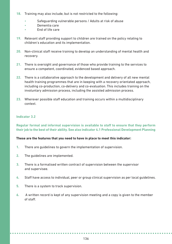- **18.** Training may also include, but is not restricted to the following:
	- Safeguarding vulnerable persons / Adults at risk of abuse
	- Dementia care
	- End of life care
- **19.** Relevant staff providing support to children are trained on the policy relating to children's education and its implementation.
- **20.** Non-clinical staff receive training to develop an understanding of mental health and recovery.
- **21.** There is oversight and governance of those who provide training to the services to ensure a competent, coordinated, evidenced based approach.
- **22.** There is a collaborative approach to the development and delivery of all new mental health training programmes that are in keeping with a recovery orientated approach, including co-production, co-delivery and co-evaluation. This includes training on the involuntary admission process, including the assisted admission process.
- **23.** Wherever possible staff education and training occurs within a multidisciplinary context.

#### **Indicator 3.2**

**Regular formal and informal supervision is available to staff to ensure that they perform their job to the best of their ability. See also indicator 4.1 Professional Development Planning**

- **1.** There are guidelines to govern the implementation of supervision.
- **2.** The guidelines are implemented.
- **3.** There is a formalised written contract of supervision between the supervisor and supervisee.
- **4.** Staff have access to individual, peer or group clinical supervision as per local guidelines.
- **5.** There is a system to track supervision.
- **6.** A written record is kept of any supervision meeting and a copy is given to the member of staff.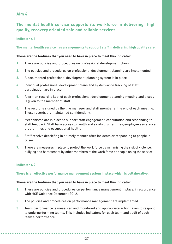# **Aim 4**

# **The mental health service supports its workforce in delivering high quality, recovery oriented safe and reliable services.**

**Indicator 4.1**

**The mental health service has arrangements to support staff in delivering high quality care.**

#### **These are the features that you need to have in place to meet this indicator:**

- **1.** There are policies and procedures on professional development planning.
- **2.** The policies and procedures on professional development planning are implemented.
- **3.** A documented professional development planning system is in place.
- **4.** Individual professional development plans and system-wide tracking of staff participation are in place.
- **5.** A written record is kept of each professional development planning meeting and a copy is given to the member of staff.
- **6.** The record is signed by the line manager and staff member at the end of each meeting. These records are maintained confidentially.
- **7.** Mechanisms are in place to support staff engagement, consultation and responding to staff feedback. Staff have access to health and safety programmes, employee assistance programmes and occupational health.
- **8.** Staff receive debriefing in a timely manner after incidents or responding to people in crises.
- **9.** There are measures in place to protect the work force by minimising the risk of violence, bullying and harassment by other members of the work force or people using the service.

#### **Indicator 4.2**

#### **There is an effective performance management system in place which is collaborative.**

- **1.** There are policies and procedures on performance management in place, in accordance with HSE Guidance Document 2012.
- **2.** The policies and procedures on performance management are implemented.
- **3.** Team performance is measured and monitored and appropriate action taken to respond to underperforming teams. This includes indicators for each team and audit of each team's performance.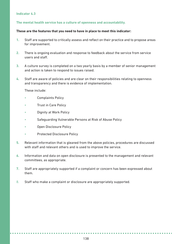#### **Indicator 4.3**

#### **The mental health service has a culture of openness and accountability.**

#### **These are the features that you need to have in place to meet this indicator:**

- **1.** Staff are supported to critically assess and reflect on their practice and to propose areas for improvement.
- **2.** There is ongoing evaluation and response to feedback about the service from service users and staff.
- **3.** A culture survey is completed on a two yearly basis by a member of senior management and action is taken to respond to issues raised.
- **4.** Staff are aware of policies and are clear on their responsibilities relating to openness and transparency and there is evidence of implementation.

These include:

- Complaints Policy
- Trust in Care Policy
- Dignity at Work Policy
- Safeguarding Vulnerable Persons at Risk of Abuse Policy
- Open Disclosure Policy
- Protected Disclosure Policy
- **5.** Relevant information that is gleaned from the above policies, procedures are discussed with staff and relevant others and is used to improve the service.
- **6.** Information and data on open disclosure is presented to the management and relevant committees, as appropriate.
- **7.** Staff are appropriately supported if a complaint or concern has been expressed about them.
- 8. Staff who make a complaint or disclosure are appropriately supported.